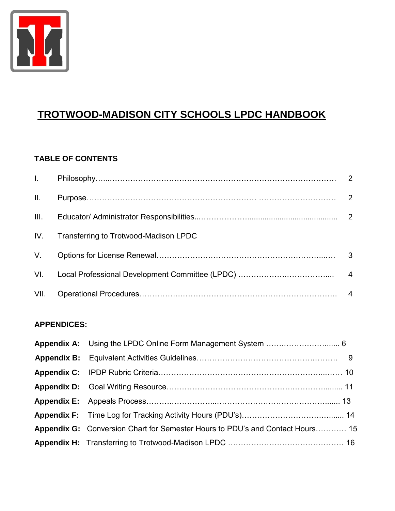

# **TROTWOOD-MADISON CITY SCHOOLS LPDC HANDBOOK**

#### **TABLE OF CONTENTS**

| II. |                                           |  |
|-----|-------------------------------------------|--|
|     |                                           |  |
|     | IV. Transferring to Trotwood-Madison LPDC |  |
|     |                                           |  |
|     |                                           |  |
|     |                                           |  |

#### **APPENDICES:**

| Appendix G: Conversion Chart for Semester Hours to PDU's and Contact Hours 15 |  |
|-------------------------------------------------------------------------------|--|
|                                                                               |  |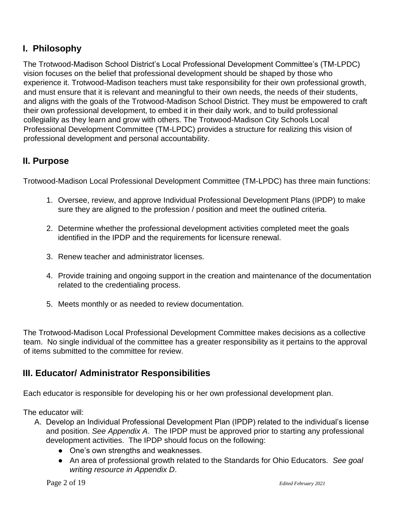### **I. Philosophy**

The Trotwood-Madison School District's Local Professional Development Committee's (TM-LPDC) vision focuses on the belief that professional development should be shaped by those who experience it. Trotwood-Madison teachers must take responsibility for their own professional growth, and must ensure that it is relevant and meaningful to their own needs, the needs of their students, and aligns with the goals of the Trotwood-Madison School District. They must be empowered to craft their own professional development, to embed it in their daily work, and to build professional collegiality as they learn and grow with others. The Trotwood-Madison City Schools Local Professional Development Committee (TM-LPDC) provides a structure for realizing this vision of professional development and personal accountability.

### **II. Purpose**

Trotwood-Madison Local Professional Development Committee (TM-LPDC) has three main functions:

- 1. Oversee, review, and approve Individual Professional Development Plans (IPDP) to make sure they are aligned to the profession / position and meet the outlined criteria.
- 2. Determine whether the professional development activities completed meet the goals identified in the IPDP and the requirements for licensure renewal.
- 3. Renew teacher and administrator licenses.
- 4. Provide training and ongoing support in the creation and maintenance of the documentation related to the credentialing process.
- 5. Meets monthly or as needed to review documentation.

The Trotwood-Madison Local Professional Development Committee makes decisions as a collective team. No single individual of the committee has a greater responsibility as it pertains to the approval of items submitted to the committee for review.

#### **III. Educator/ Administrator Responsibilities**

Each educator is responsible for developing his or her own professional development plan.

The educator will:

- A. Develop an Individual Professional Development Plan (IPDP) related to the individual's license and position. *See Appendix A*. The IPDP must be approved prior to starting any professional development activities. The IPDP should focus on the following:
	- One's own strengths and weaknesses.
	- An area of professional growth related to the Standards for Ohio Educators. *See goal writing resource in Appendix D*.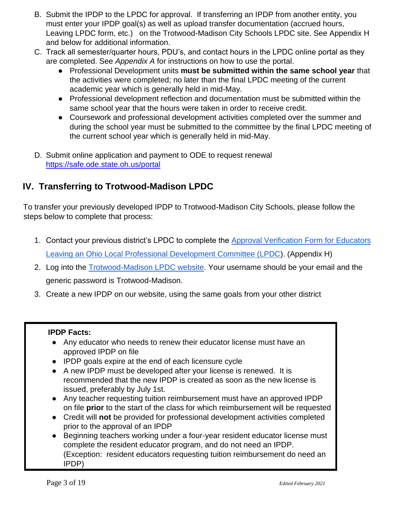- B. Submit the IPDP to the LPDC for approval. If transferring an IPDP from another entity, you must enter your IPDP goal(s) as well as upload transfer documentation (accrued hours, Leaving LPDC form, etc.) on the Trotwood-Madison City Schools LPDC site. See Appendix H and below for additional information.
- C. Track all semester/quarter hours, PDU's, and contact hours in the LPDC online portal as they are completed. See *Appendix A* for instructions on how to use the portal.
	- Professional Development units **must be submitted within the same school year** that the activities were completed; no later than the final LPDC meeting of the current academic year which is generally held in mid-May.
	- Professional development reflection and documentation must be submitted within the same school year that the hours were taken in order to receive credit.
	- Coursework and professional development activities completed over the summer and during the school year must be submitted to the committee by the final LPDC meeting of the current school year which is generally held in mid-May.
- D. Submit online application and payment to ODE to request renewal <https://safe.ode.state.oh.us/portal>

### **IV. Transferring to Trotwood-Madison LPDC**

To transfer your previously developed IPDP to Trotwood-Madison City Schools, please follow the steps below to complete that process:

- 1. Contact your previous district's LPDC to complete the **Approval Verification Form for Educators** [Leaving an Ohio Local Professional Development Committee \(LPDC\).](http://education.ohio.gov/getattachment/Topics/Teaching/Professional-Development/LPDC-s/LPDC-Forms/Educators-Exiting-an-LPDC-Form_editable-1.pdf.aspx?lang=en-US) (Appendix H)
- 2. Log into the [Trotwood-Madison LPDC website.](http://summitesc.net/lpdc/Manage/index.asp?DistrictID=38) Your username should be your email and the generic password is Trotwood-Madison.
- 3. Create a new IPDP on our website, using the same goals from your other district

#### **IPDP Facts:**

- Any educator who needs to renew their educator license must have an approved IPDP on file
- IPDP goals expire at the end of each licensure cycle
- A new IPDP must be developed after your license is renewed. It is recommended that the new IPDP is created as soon as the new license is issued, preferably by July 1st.
- Any teacher requesting tuition reimbursement must have an approved IPDP on file **prior** to the start of the class for which reimbursement will be requested
- Credit will **not** be provided for professional development activities completed prior to the approval of an IPDP
- Beginning teachers working under a four-year resident educator license must complete the resident educator program, and do not need an IPDP. (Exception: resident educators requesting tuition reimbursement do need an IPDP)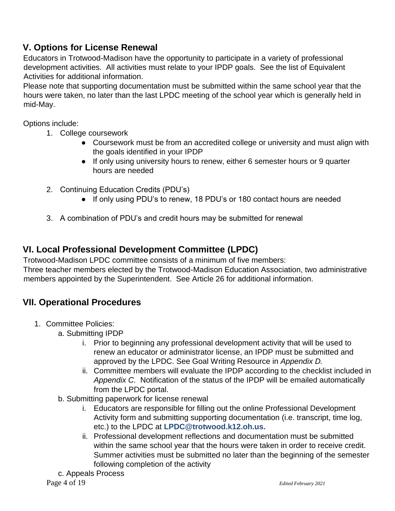### **V. Options for License Renewal**

Educators in Trotwood-Madison have the opportunity to participate in a variety of professional development activities. All activities must relate to your IPDP goals. See the list of Equivalent Activities for additional information.

Please note that supporting documentation must be submitted within the same school year that the hours were taken, no later than the last LPDC meeting of the school year which is generally held in mid-May.

Options include:

- 1. College coursework
	- Coursework must be from an accredited college or university and must align with the goals identified in your IPDP
	- If only using university hours to renew, either 6 semester hours or 9 quarter hours are needed
- 2. Continuing Education Credits (PDU's)
	- If only using PDU's to renew, 18 PDU's or 180 contact hours are needed
- 3. A combination of PDU's and credit hours may be submitted for renewal

### **VI. Local Professional Development Committee (LPDC)**

Trotwood-Madison LPDC committee consists of a minimum of five members:

Three teacher members elected by the Trotwood-Madison Education Association, two administrative members appointed by the Superintendent. See Article 26 for additional information.

### **VII. Operational Procedures**

- 1. Committee Policies:
	- a. Submitting IPDP
		- i. Prior to beginning any professional development activity that will be used to renew an educator or administrator license, an IPDP must be submitted and approved by the LPDC. See Goal Writing Resource in *Appendix D.*
		- ii. Committee members will evaluate the IPDP according to the checklist included in *Appendix C.* Notification of the status of the IPDP will be emailed automatically from the LPDC portal.
	- b. Submitting paperwork for license renewal
		- i. Educators are responsible for filling out the online Professional Development Activity form and submitting supporting documentation (i.e. transcript, time log, etc.) to the LPDC at **LPDC@trotwood.k12.oh.us.**
		- ii. Professional development reflections and documentation must be submitted within the same school year that the hours were taken in order to receive credit. Summer activities must be submitted no later than the beginning of the semester following completion of the activity
	- c. Appeals Process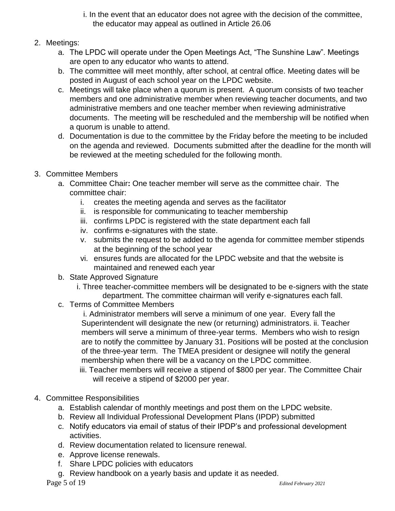- i. In the event that an educator does not agree with the decision of the committee, the educator may appeal as outlined in Article 26.06
- 2. Meetings:
	- a. The LPDC will operate under the Open Meetings Act, "The Sunshine Law". Meetings are open to any educator who wants to attend.
	- b. The committee will meet monthly, after school, at central office. Meeting dates will be posted in August of each school year on the LPDC website.
	- c. Meetings will take place when a quorum is present. A quorum consists of two teacher members and one administrative member when reviewing teacher documents, and two administrative members and one teacher member when reviewing administrative documents. The meeting will be rescheduled and the membership will be notified when a quorum is unable to attend.
	- d. Documentation is due to the committee by the Friday before the meeting to be included on the agenda and reviewed. Documents submitted after the deadline for the month will be reviewed at the meeting scheduled for the following month.
- 3. Committee Members
	- a. Committee Chair**:** One teacher member will serve as the committee chair. The committee chair:
		- i. creates the meeting agenda and serves as the facilitator
		- ii. is responsible for communicating to teacher membership
		- iii. confirms LPDC is registered with the state department each fall
		- iv. confirms e-signatures with the state.
		- v. submits the request to be added to the agenda for committee member stipends at the beginning of the school year
		- vi. ensures funds are allocated for the LPDC website and that the website is maintained and renewed each year
	- b. State Approved Signature
		- i. Three teacher-committee members will be designated to be e-signers with the state department. The committee chairman will verify e-signatures each fall.
	- c. Terms of Committee Members

i. Administrator members will serve a minimum of one year. Every fall the Superintendent will designate the new (or returning) administrators. ii. Teacher members will serve a minimum of three-year terms. Members who wish to resign are to notify the committee by January 31. Positions will be posted at the conclusion of the three-year term. The TMEA president or designee will notify the general membership when there will be a vacancy on the LPDC committee.

- iii. Teacher members will receive a stipend of \$800 per year. The Committee Chair will receive a stipend of \$2000 per year.
- 4. Committee Responsibilities
	- a. Establish calendar of monthly meetings and post them on the LPDC website.
	- b. Review all Individual Professional Development Plans (IPDP) submitted
	- c. Notify educators via email of status of their IPDP's and professional development activities.
	- d. Review documentation related to licensure renewal.
	- e. Approve license renewals.
	- f. Share LPDC policies with educators
	- g. Review handbook on a yearly basis and update it as needed.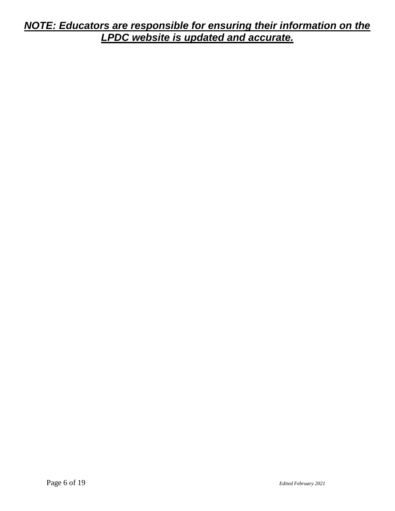### *NOTE: Educators are responsible for ensuring their information on the LPDC website is updated and accurate.*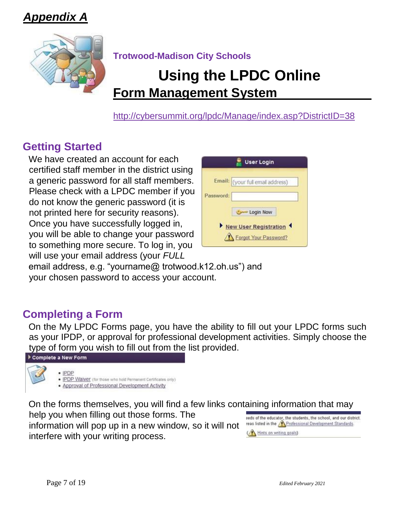*Appendix A*



**Trotwood-Madison City Schools** 

# **Using the LPDC Online Form Management System**

<http://cybersummit.org/lpdc/Manage/index.asp?DistrictID=38>

# **Getting Started**

We have created an account for each certified staff member in the district using a generic password for all staff members. Please check with a LPDC member if you do not know the generic password (it is not printed here for security reasons). Once you have successfully logged in, you will be able to change your password to something more secure. To log in, you will use your email address (your *FULL* 

|           | <b>User Login</b>                              |
|-----------|------------------------------------------------|
|           | Email: (your full email address)               |
| Password: |                                                |
|           | Login Now                                      |
|           | New User Registration<br>Forgot Your Password? |

email address, e.g. "yourname@ trotwood.k12.oh.us") and your chosen password to access your account.

# **Completing a Form**

On the My LPDC Forms page, you have the ability to fill out your LPDC forms such as your IPDP, or approval for professional development activities. Simply choose the type of form you wish to fill out from the list provided.



On the forms themselves, you will find a few links containing information that may

help you when filling out those forms. The information will pop up in a new window, so it will not interfere with your writing process.

eeds of the educator, the students, the school, and our district. reas listed in the Professional Development Standards (A Hints on writing goals)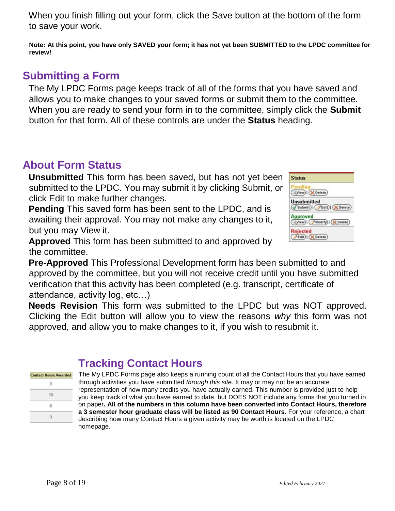When you finish filling out your form, click the Save button at the bottom of the form to save your work.

**Note: At this point, you have only SAVED your form; it has not yet been SUBMITTED to the LPDC committee for review!** 

# **Submitting a Form**

The My LPDC Forms page keeps track of all of the forms that you have saved and allows you to make changes to your saved forms or submit them to the committee. When you are ready to send your form in to the committee, simply click the **Submit**  button for that form. All of these controls are under the **Status** heading.

# **About Form Status**

**Unsubmitted** This form has been saved, but has not yet been submitted to the LPDC. You may submit it by clicking Submit, or click Edit to make further changes.

**Pending** This saved form has been sent to the LPDC, and is awaiting their approval. You may not make any changes to it, but you may View it.



**Approved** This form has been submitted to and approved by the committee.

**Pre-Approved** This Professional Development form has been submitted to and approved by the committee, but you will not receive credit until you have submitted verification that this activity has been completed (e.g. transcript, certificate of attendance, activity log, etc…)

**Needs Revision** This form was submitted to the LPDC but was NOT approved. Clicking the Edit button will allow you to view the reasons *why* this form was not approved, and allow you to make changes to it, if you wish to resubmit it.

| <b>Contact Hours Awarded</b> |
|------------------------------|
|                              |
|                              |
|                              |
|                              |
|                              |

### **Tracking Contact Hours**

The My LPDC Forms page also keeps a running count of all the Contact Hours that you have earned through activities you have submitted *through this site*. It may or may not be an accurate representation of how many credits you have actually earned. This number is provided just to help you keep track of what you have earned to date, but DOES NOT include any forms that you turned in on paper**. All of the numbers in this column have been converted into Contact Hours, therefore a 3 semester hour graduate class will be listed as 90 Contact Hours**. For your reference, a chart describing how many Contact Hours a given activity may be worth is located on the LPDC homepage.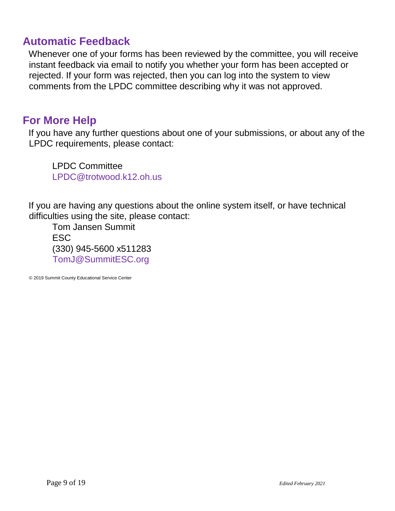### **Automatic Feedback**

Whenever one of your forms has been reviewed by the committee, you will receive instant feedback via email to notify you whether your form has been accepted or rejected. If your form was rejected, then you can log into the system to view comments from the LPDC committee describing why it was not approved.

### **For More Help**

If you have any further questions about one of your submissions, or about any of the LPDC requirements, please contact:

LPDC Committee LPDC@trotwood.k12.oh.us

If you are having any questions about the online system itself, or have technical difficulties using the site, please contact:

Tom Jansen Summit **ESC** (330) 945-5600 x511283 TomJ@SummitESC.org

© 2019 Summit County Educational Service Center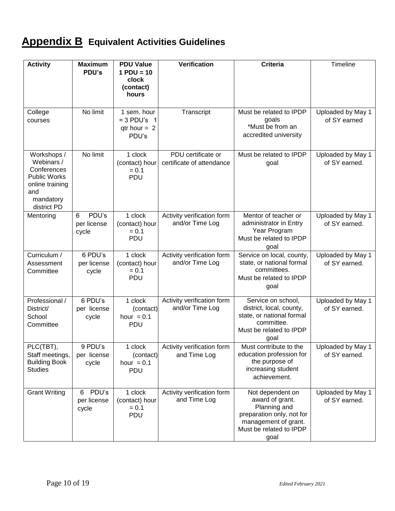# **Appendix B Equivalent Activities Guidelines**

| <b>Activity</b>                                                                                                       | <b>Maximum</b><br>PDU's            | <b>PDU Value</b><br>$1$ PDU = 10<br>clock<br>(contact)<br>hours | Verification                                    | <b>Criteria</b>                                                                                                                             | Timeline                           |
|-----------------------------------------------------------------------------------------------------------------------|------------------------------------|-----------------------------------------------------------------|-------------------------------------------------|---------------------------------------------------------------------------------------------------------------------------------------------|------------------------------------|
| College<br>courses                                                                                                    | No limit                           | 1 sem. hour<br>$= 3$ PDU's 1<br>$qtr$ hour = 2<br>PDU's         | Transcript                                      | Must be related to IPDP<br>goals<br>*Must be from an<br>accredited university                                                               | Uploaded by May 1<br>of SY earned  |
| Workshops /<br>Webinars /<br>Conferences<br><b>Public Works</b><br>online training<br>and<br>mandatory<br>district PD | No limit                           | 1 clock<br>(contact) hour<br>$= 0.1$<br>PDU                     | PDU certificate or<br>certificate of attendance | Must be related to IPDP<br>goal                                                                                                             | Uploaded by May 1<br>of SY earned. |
| Mentoring                                                                                                             | PDU's<br>6<br>per license<br>cycle | 1 clock<br>(contact) hour<br>$= 0.1$<br>PDU                     | Activity verification form<br>and/or Time Log   | Mentor of teacher or<br>administrator in Entry<br>Year Program<br>Must be related to IPDP<br>goal                                           | Uploaded by May 1<br>of SY earned. |
| Curriculum /<br>Assessment<br>Committee                                                                               | 6 PDU's<br>per license<br>cycle    | 1 clock<br>(contact) hour<br>$= 0.1$<br>PDU                     | Activity verification form<br>and/or Time Log   | Service on local, county,<br>state, or national formal<br>committees.<br>Must be related to IPDP<br>goal                                    | Uploaded by May 1<br>of SY earned. |
| Professional /<br>District/<br>School<br>Committee                                                                    | 6 PDU's<br>per license<br>cycle    | 1 clock<br>(contact)<br>hour $= 0.1$<br>PDU                     | Activity verification form<br>and/or Time Log   | Service on school,<br>district, local, county,<br>state, or national formal<br>committee.<br>Must be related to IPDP<br>goal                | Uploaded by May 1<br>of SY earned. |
| PLC(TBT)<br>Staff meetings,<br><b>Building Book</b><br><b>Studies</b>                                                 | 9 PDU's<br>per license<br>cycle    | 1 clock<br>(contact)<br>hour $= 0.1$<br>PDU                     | Activity verification form<br>and Time Log      | Must contribute to the<br>education profession for<br>the purpose of<br>increasing student<br>achievement.                                  | Uploaded by May 1<br>of SY earned. |
| <b>Grant Writing</b>                                                                                                  | PDU's<br>6<br>per license<br>cycle | 1 clock<br>(contact) hour<br>$= 0.1$<br>PDU                     | Activity verification form<br>and Time Log      | Not dependent on<br>award of grant.<br>Planning and<br>preparation only, not for<br>management of grant.<br>Must be related to IPDP<br>goal | Uploaded by May 1<br>of SY earned. |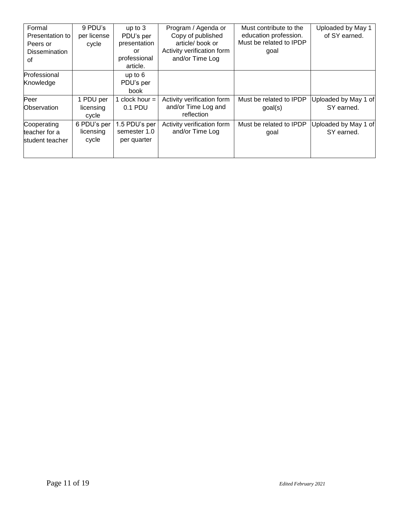| Formal<br>Presentation to<br>Peers or<br>Dissemination<br>0f | 9 PDU's<br>per license<br>cycle   | up to $3$<br>PDU's per<br>presentation<br>or<br>professional<br>article. | Program / Agenda or<br>Copy of published<br>article/book or<br>Activity verification form<br>and/or Time Log | Must contribute to the<br>education profession.<br>Must be related to IPDP<br>goal | Uploaded by May 1<br>of SY earned. |
|--------------------------------------------------------------|-----------------------------------|--------------------------------------------------------------------------|--------------------------------------------------------------------------------------------------------------|------------------------------------------------------------------------------------|------------------------------------|
| Professional<br>Knowledge                                    |                                   | up to $6$<br>PDU's per<br>book                                           |                                                                                                              |                                                                                    |                                    |
| Peer<br><b>Observation</b>                                   | 1 PDU per<br>licensing<br>cycle   | 1 clock hour $=$<br>0.1 PDU                                              | Activity verification form<br>and/or Time Log and<br>reflection                                              | Must be related to IPDP<br>goal(s)                                                 | Uploaded by May 1 of<br>SY earned. |
| Cooperating<br>teacher for a<br>student teacher              | 6 PDU's per<br>licensing<br>cycle | 1.5 PDU's per<br>semester 1.0<br>per quarter                             | Activity verification form<br>and/or Time Log                                                                | Must be related to IPDP<br>goal                                                    | Uploaded by May 1 of<br>SY earned. |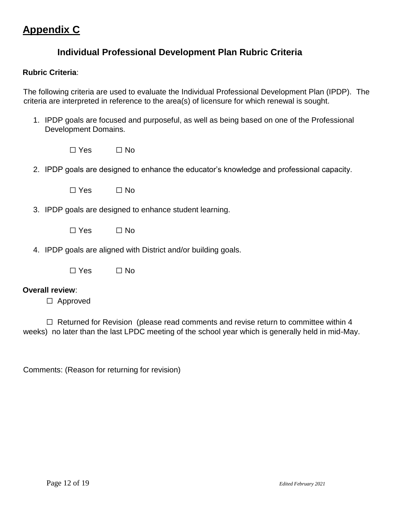## **Appendix C**

#### **Individual Professional Development Plan Rubric Criteria**

#### **Rubric Criteria**:

The following criteria are used to evaluate the Individual Professional Development Plan (IPDP). The criteria are interpreted in reference to the area(s) of licensure for which renewal is sought.

- 1. IPDP goals are focused and purposeful, as well as being based on one of the Professional Development Domains.
	- $\Box$  Yes  $\Box$  No
- 2. IPDP goals are designed to enhance the educator's knowledge and professional capacity.
	- $\Box$  Yes  $\Box$  No
- 3. IPDP goals are designed to enhance student learning.
	- $\Box$  Yes  $\Box$  No
- 4. IPDP goals are aligned with District and/or building goals.
	- $\Box$  Yes  $\Box$  No

#### **Overall review**:

☐ Approved

 $\Box$  Returned for Revision (please read comments and revise return to committee within 4 weeks) no later than the last LPDC meeting of the school year which is generally held in mid-May.

Comments: (Reason for returning for revision)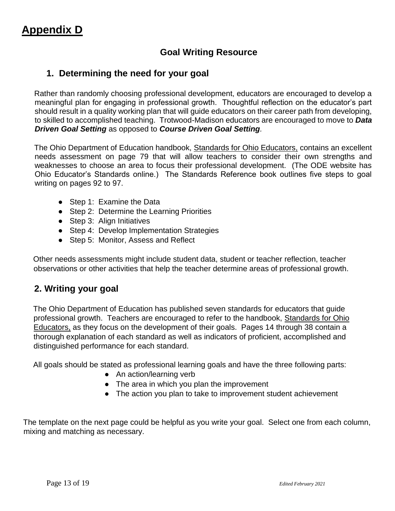### **Goal Writing Resource**

#### **1. Determining the need for your goal**

Rather than randomly choosing professional development, educators are encouraged to develop a meaningful plan for engaging in professional growth. Thoughtful reflection on the educator's part should result in a quality working plan that will guide educators on their career path from developing, to skilled to accomplished teaching. Trotwood-Madison educators are encouraged to move to *Data Driven Goal Setting* as opposed to *Course Driven Goal Setting.*

The Ohio Department of Education handbook, Standards for Ohio Educators, contains an excellent needs assessment on page 79 that will allow teachers to consider their own strengths and weaknesses to choose an area to focus their professional development. (The ODE website has Ohio Educator's Standards online.) The Standards Reference book outlines five steps to goal writing on pages 92 to 97.

- Step 1: Examine the Data
- Step 2: Determine the Learning Priorities
- Step 3: Align Initiatives
- Step 4: Develop Implementation Strategies
- Step 5: Monitor, Assess and Reflect

Other needs assessments might include student data, student or teacher reflection, teacher observations or other activities that help the teacher determine areas of professional growth.

#### **2. Writing your goal**

The Ohio Department of Education has published seven standards for educators that guide professional growth. Teachers are encouraged to refer to the handbook, Standards for Ohio Educators, as they focus on the development of their goals. Pages 14 through 38 contain a thorough explanation of each standard as well as indicators of proficient, accomplished and distinguished performance for each standard.

All goals should be stated as professional learning goals and have the three following parts:

- An action/learning verb
- The area in which you plan the improvement
- The action you plan to take to improvement student achievement

The template on the next page could be helpful as you write your goal. Select one from each column, mixing and matching as necessary.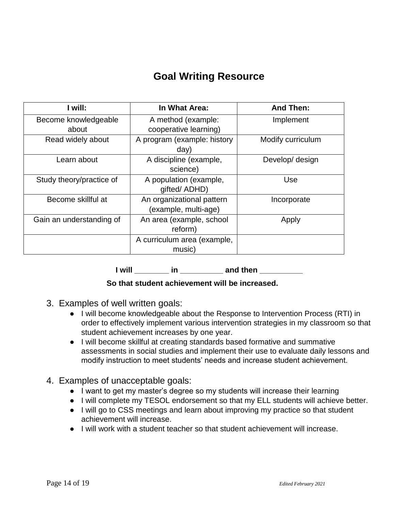# **Goal Writing Resource**

| I will:                  | In What Area:                                     | <b>And Then:</b>  |
|--------------------------|---------------------------------------------------|-------------------|
| Become knowledgeable     | A method (example:                                | Implement         |
| about                    | cooperative learning)                             |                   |
| Read widely about        | A program (example: history<br>day)               | Modify curriculum |
| Learn about              | A discipline (example,<br>science)                | Develop/ design   |
| Study theory/practice of | A population (example,<br>gifted/ ADHD)           | Use               |
| Become skillful at       | An organizational pattern<br>(example, multi-age) | Incorporate       |
| Gain an understanding of | An area (example, school<br>reform)               | Apply             |
|                          | A curriculum area (example,                       |                   |
|                          | music)                                            |                   |

**I** will **in and then** *n* 

#### **So that student achievement will be increased.**

- 3. Examples of well written goals:
	- I will become knowledgeable about the Response to Intervention Process (RTI) in order to effectively implement various intervention strategies in my classroom so that student achievement increases by one year.
	- I will become skillful at creating standards based formative and summative assessments in social studies and implement their use to evaluate daily lessons and modify instruction to meet students' needs and increase student achievement.
- 4. Examples of unacceptable goals:
	- I want to get my master's degree so my students will increase their learning
	- I will complete my TESOL endorsement so that my ELL students will achieve better.
	- I will go to CSS meetings and learn about improving my practice so that student achievement will increase.
	- I will work with a student teacher so that student achievement will increase.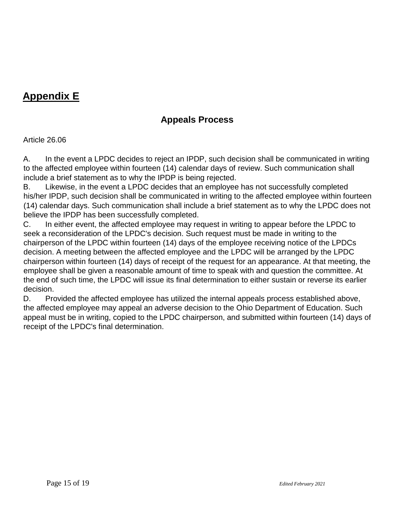# **Appendix E**

### **Appeals Process**

Article 26.06

A. In the event a LPDC decides to reject an IPDP, such decision shall be communicated in writing to the affected employee within fourteen (14) calendar days of review. Such communication shall include a brief statement as to why the IPDP is being rejected.

B. Likewise, in the event a LPDC decides that an employee has not successfully completed his/her IPDP, such decision shall be communicated in writing to the affected employee within fourteen (14) calendar days. Such communication shall include a brief statement as to why the LPDC does not believe the IPDP has been successfully completed.

C. In either event, the affected employee may request in writing to appear before the LPDC to seek a reconsideration of the LPDC's decision. Such request must be made in writing to the chairperson of the LPDC within fourteen (14) days of the employee receiving notice of the LPDCs decision. A meeting between the affected employee and the LPDC will be arranged by the LPDC chairperson within fourteen (14) days of receipt of the request for an appearance. At that meeting, the employee shall be given a reasonable amount of time to speak with and question the committee. At the end of such time, the LPDC will issue its final determination to either sustain or reverse its earlier decision.

D. Provided the affected employee has utilized the internal appeals process established above, the affected employee may appeal an adverse decision to the Ohio Department of Education. Such appeal must be in writing, copied to the LPDC chairperson, and submitted within fourteen (14) days of receipt of the LPDC's final determination.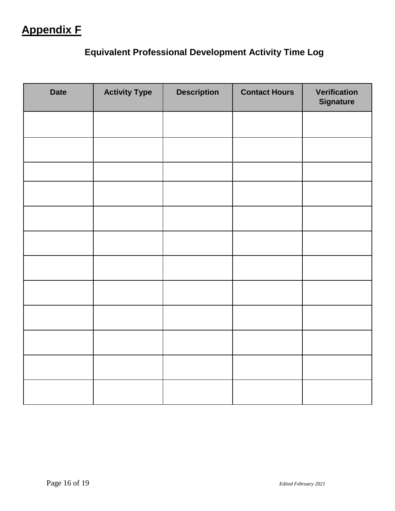# **Appendix F**

# **Equivalent Professional Development Activity Time Log**

| <b>Date</b> | <b>Activity Type</b> | <b>Description</b> | <b>Contact Hours</b> | <b>Verification</b><br><b>Signature</b> |
|-------------|----------------------|--------------------|----------------------|-----------------------------------------|
|             |                      |                    |                      |                                         |
|             |                      |                    |                      |                                         |
|             |                      |                    |                      |                                         |
|             |                      |                    |                      |                                         |
|             |                      |                    |                      |                                         |
|             |                      |                    |                      |                                         |
|             |                      |                    |                      |                                         |
|             |                      |                    |                      |                                         |
|             |                      |                    |                      |                                         |
|             |                      |                    |                      |                                         |
|             |                      |                    |                      |                                         |
|             |                      |                    |                      |                                         |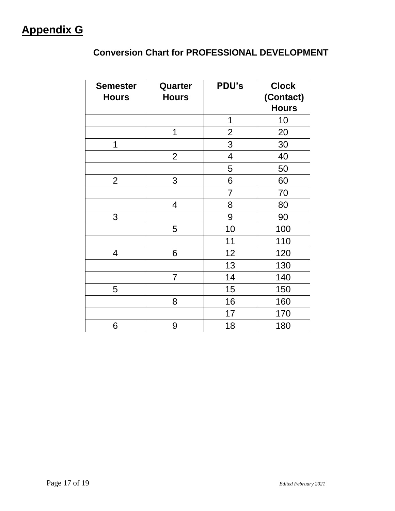## **Conversion Chart for PROFESSIONAL DEVELOPMENT**

| <b>Semester</b> | Quarter        | PDU's                    | <b>Clock</b> |
|-----------------|----------------|--------------------------|--------------|
| <b>Hours</b>    | <b>Hours</b>   |                          | (Contact)    |
|                 |                |                          | <b>Hours</b> |
|                 |                | 1                        | 10           |
|                 | 1              | $\overline{2}$           | 20           |
| 1               |                | 3                        | 30           |
|                 | $\overline{2}$ | $\overline{\mathcal{A}}$ | 40           |
|                 |                | 5                        | 50           |
| $\overline{2}$  | 3              | 6                        | 60           |
|                 |                | $\overline{7}$           | 70           |
|                 | 4              | 8                        | 80           |
| 3               |                | 9                        | 90           |
|                 | 5              | 10                       | 100          |
|                 |                | 11                       | 110          |
| 4               | 6              | 12                       | 120          |
|                 |                | 13                       | 130          |
|                 | $\overline{7}$ | 14                       | 140          |
| 5               |                | 15                       | 150          |
|                 | 8              | 16                       | 160          |
|                 |                | 17                       | 170          |
| 6               | 9              | 18                       | 180          |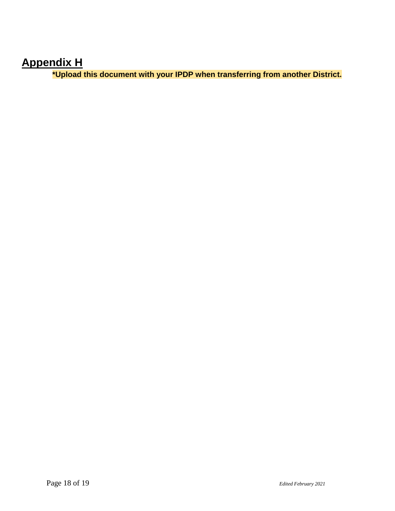# **Appendix H**

**\*Upload this document with your IPDP when transferring from another District.**